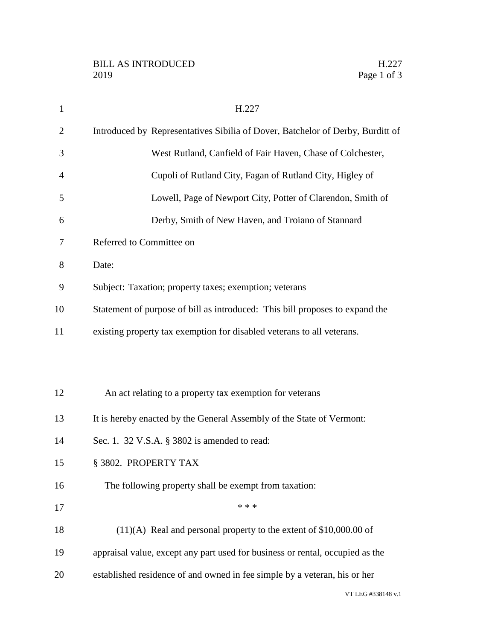| $\mathbf{1}$   | H.227                                                                          |
|----------------|--------------------------------------------------------------------------------|
| $\overline{2}$ | Introduced by Representatives Sibilia of Dover, Batchelor of Derby, Burditt of |
| 3              | West Rutland, Canfield of Fair Haven, Chase of Colchester,                     |
| $\overline{4}$ | Cupoli of Rutland City, Fagan of Rutland City, Higley of                       |
| 5              | Lowell, Page of Newport City, Potter of Clarendon, Smith of                    |
| 6              | Derby, Smith of New Haven, and Troiano of Stannard                             |
| 7              | Referred to Committee on                                                       |
| 8              | Date:                                                                          |
| 9              | Subject: Taxation; property taxes; exemption; veterans                         |
| 10             | Statement of purpose of bill as introduced: This bill proposes to expand the   |
| 11             | existing property tax exemption for disabled veterans to all veterans.         |
|                |                                                                                |
|                |                                                                                |
| 12             | An act relating to a property tax exemption for veterans                       |
| 13             | It is hereby enacted by the General Assembly of the State of Vermont:          |
| 14             | Sec. 1. 32 V.S.A. § 3802 is amended to read:                                   |
| 15             | § 3802. PROPERTY TAX                                                           |
| 16             | The following property shall be exempt from taxation:                          |
| 17             | * * *                                                                          |
| 18             | $(11)(A)$ Real and personal property to the extent of \$10,000.00 of           |
| 19             | appraisal value, except any part used for business or rental, occupied as the  |
| 20             | established residence of and owned in fee simple by a veteran, his or her      |
|                | VT LEG #338148 v.1                                                             |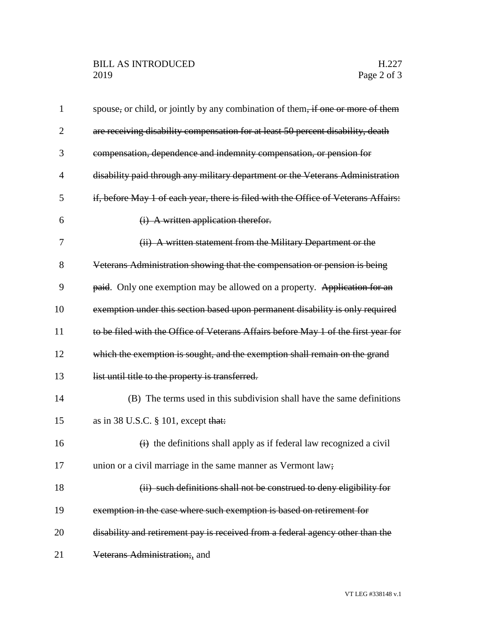| $\mathbf{1}$   | spouse, or child, or jointly by any combination of them, if one or more of them       |
|----------------|---------------------------------------------------------------------------------------|
| $\overline{2}$ | are receiving disability compensation for at least 50 percent disability, death       |
| 3              | compensation, dependence and indemnity compensation, or pension for                   |
| 4              | disability paid through any military department or the Veterans Administration        |
| 5              | if, before May 1 of each year, there is filed with the Office of Veterans Affairs:    |
| 6              | (i) A written application therefor.                                                   |
| 7              | (ii) A written statement from the Military Department or the                          |
| 8              | Veterans Administration showing that the compensation or pension is being             |
| 9              | paid. Only one exemption may be allowed on a property. Application for an             |
| 10             | exemption under this section based upon permanent disability is only required         |
| 11             | to be filed with the Office of Veterans Affairs before May 1 of the first year for    |
| 12             | which the exemption is sought, and the exemption shall remain on the grand            |
| 13             | list until title to the property is transferred.                                      |
| 14             | (B) The terms used in this subdivision shall have the same definitions                |
| 15             | as in 38 U.S.C. § 101, except that:                                                   |
| 16             | $\overrightarrow{H}$ the definitions shall apply as if federal law recognized a civil |
| 17             | union or a civil marriage in the same manner as Vermont law;                          |
| 18             | (ii) such definitions shall not be construed to deny eligibility for                  |
| 19             | exemption in the case where such exemption is based on retirement for                 |
| 20             | disability and retirement pay is received from a federal agency other than the        |
| 21             | Veterans Administration;, and                                                         |